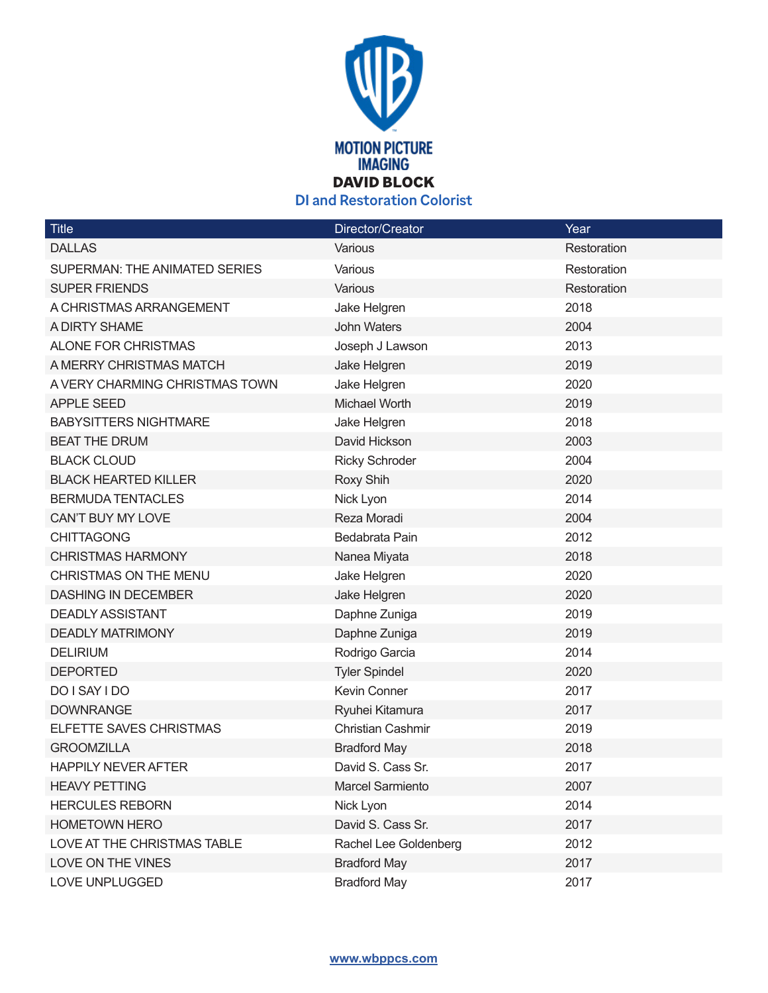

| <b>Title</b>                   | Director/Creator         | Year        |
|--------------------------------|--------------------------|-------------|
| <b>DALLAS</b>                  | Various                  | Restoration |
| SUPERMAN: THE ANIMATED SERIES  | Various                  | Restoration |
| <b>SUPER FRIENDS</b>           | Various                  | Restoration |
| A CHRISTMAS ARRANGEMENT        | Jake Helgren             | 2018        |
| A DIRTY SHAME                  | <b>John Waters</b>       | 2004        |
| <b>ALONE FOR CHRISTMAS</b>     | Joseph J Lawson          | 2013        |
| A MERRY CHRISTMAS MATCH        | Jake Helgren             | 2019        |
| A VERY CHARMING CHRISTMAS TOWN | Jake Helgren             | 2020        |
| <b>APPLE SEED</b>              | Michael Worth            | 2019        |
| <b>BABYSITTERS NIGHTMARE</b>   | Jake Helgren             | 2018        |
| <b>BEAT THE DRUM</b>           | David Hickson            | 2003        |
| <b>BLACK CLOUD</b>             | <b>Ricky Schroder</b>    | 2004        |
| <b>BLACK HEARTED KILLER</b>    | Roxy Shih                | 2020        |
| <b>BERMUDA TENTACLES</b>       | Nick Lyon                | 2014        |
| CAN'T BUY MY LOVE              | Reza Moradi              | 2004        |
| <b>CHITTAGONG</b>              | Bedabrata Pain           | 2012        |
| <b>CHRISTMAS HARMONY</b>       | Nanea Miyata             | 2018        |
| <b>CHRISTMAS ON THE MENU</b>   | Jake Helgren             | 2020        |
| <b>DASHING IN DECEMBER</b>     | Jake Helgren             | 2020        |
| <b>DEADLY ASSISTANT</b>        | Daphne Zuniga            | 2019        |
| <b>DEADLY MATRIMONY</b>        | Daphne Zuniga            | 2019        |
| <b>DELIRIUM</b>                | Rodrigo Garcia           | 2014        |
| <b>DEPORTED</b>                | <b>Tyler Spindel</b>     | 2020        |
| DO I SAY I DO                  | Kevin Conner             | 2017        |
| <b>DOWNRANGE</b>               | Ryuhei Kitamura          | 2017        |
| ELFETTE SAVES CHRISTMAS        | <b>Christian Cashmir</b> | 2019        |
| <b>GROOMZILLA</b>              | <b>Bradford May</b>      | 2018        |
| <b>HAPPILY NEVER AFTER</b>     | David S. Cass Sr.        | 2017        |
| <b>HEAVY PETTING</b>           | <b>Marcel Sarmiento</b>  | 2007        |
| <b>HERCULES REBORN</b>         | Nick Lyon                | 2014        |
| <b>HOMETOWN HERO</b>           | David S. Cass Sr.        | 2017        |
| LOVE AT THE CHRISTMAS TABLE    | Rachel Lee Goldenberg    | 2012        |
| LOVE ON THE VINES              | <b>Bradford May</b>      | 2017        |
| LOVE UNPLUGGED                 | <b>Bradford May</b>      | 2017        |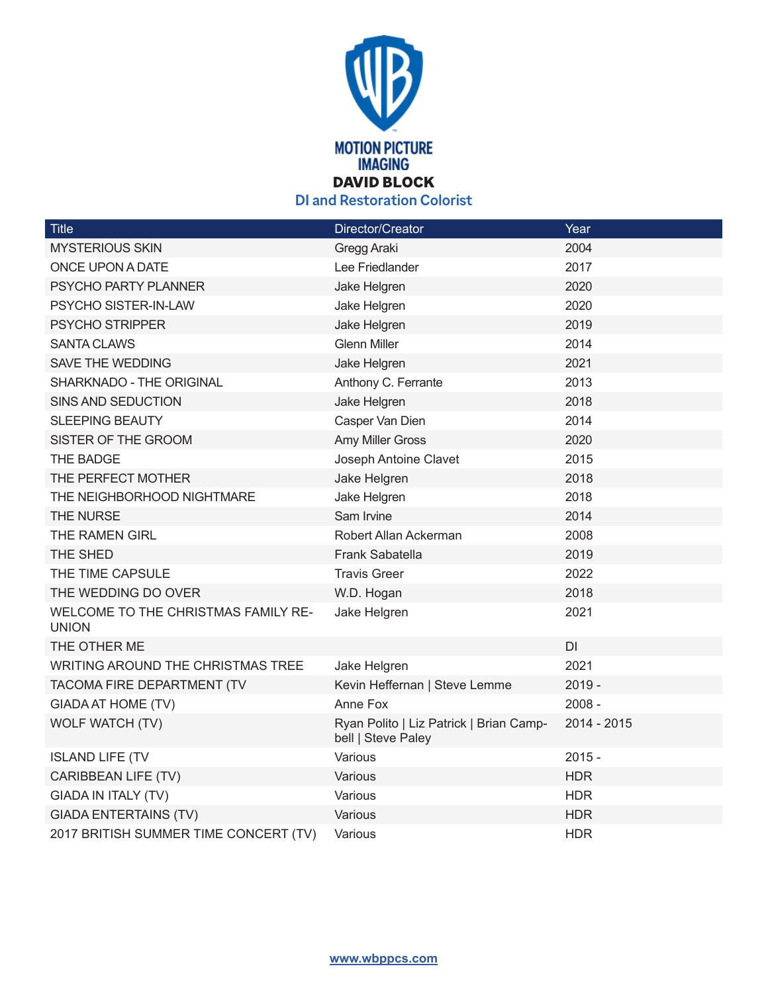

| Title                                                      | Director/Creator                                              | Year        |
|------------------------------------------------------------|---------------------------------------------------------------|-------------|
| <b>MYSTERIOUS SKIN</b>                                     | Gregg Araki                                                   | 2004        |
| ONCE UPON A DATE                                           | Lee Friedlander                                               | 2017        |
| PSYCHO PARTY PLANNER                                       | Jake Helgren                                                  | 2020        |
| PSYCHO SISTER-IN-LAW                                       | Jake Helgren                                                  | 2020        |
| PSYCHO STRIPPER                                            | Jake Helgren                                                  | 2019        |
| <b>SANTA CLAWS</b>                                         | <b>Glenn Miller</b>                                           | 2014        |
| SAVE THE WEDDING                                           | Jake Helgren                                                  | 2021        |
| SHARKNADO - THE ORIGINAL                                   | Anthony C. Ferrante                                           | 2013        |
| SINS AND SEDUCTION                                         | Jake Helgren                                                  | 2018        |
| SLEEPING BEAUTY                                            | Casper Van Dien                                               | 2014        |
| SISTER OF THE GROOM                                        | Amy Miller Gross                                              | 2020        |
| THE BADGE                                                  | Joseph Antoine Clavet                                         | 2015        |
| THE PERFECT MOTHER                                         | Jake Helgren                                                  | 2018        |
| THE NEIGHBORHOOD NIGHTMARE                                 | Jake Helgren                                                  | 2018        |
| THE NURSE                                                  | Sam Irvine                                                    | 2014        |
| THE RAMEN GIRL                                             | Robert Allan Ackerman                                         | 2008        |
| THE SHED                                                   | Frank Sabatella                                               | 2019        |
| THE TIME CAPSULE                                           | <b>Travis Greer</b>                                           | 2022        |
| THE WEDDING DO OVER                                        | W.D. Hogan                                                    | 2018        |
| <b>WELCOME TO THE CHRISTMAS FAMILY RE-</b><br><b>UNION</b> | Jake Helgren                                                  | 2021        |
| THE OTHER ME                                               |                                                               | DI          |
| WRITING AROUND THE CHRISTMAS TREE                          | Jake Helgren                                                  | 2021        |
| TACOMA FIRE DEPARTMENT (TV                                 | Kevin Heffernan   Steve Lemme                                 | $2019 -$    |
| <b>GIADA AT HOME (TV)</b>                                  | Anne Fox                                                      | $2008 -$    |
| <b>WOLF WATCH (TV)</b>                                     | Ryan Polito   Liz Patrick   Brian Camp-<br>bell   Steve Paley | 2014 - 2015 |
| <b>ISLAND LIFE (TV</b>                                     | Various                                                       | $2015 -$    |
| CARIBBEAN LIFE (TV)                                        | Various                                                       | <b>HDR</b>  |
| <b>GIADA IN ITALY (TV)</b>                                 | Various                                                       | <b>HDR</b>  |
| <b>GIADA ENTERTAINS (TV)</b>                               | Various                                                       | <b>HDR</b>  |
| 2017 BRITISH SUMMER TIME CONCERT (TV)                      | Various                                                       | <b>HDR</b>  |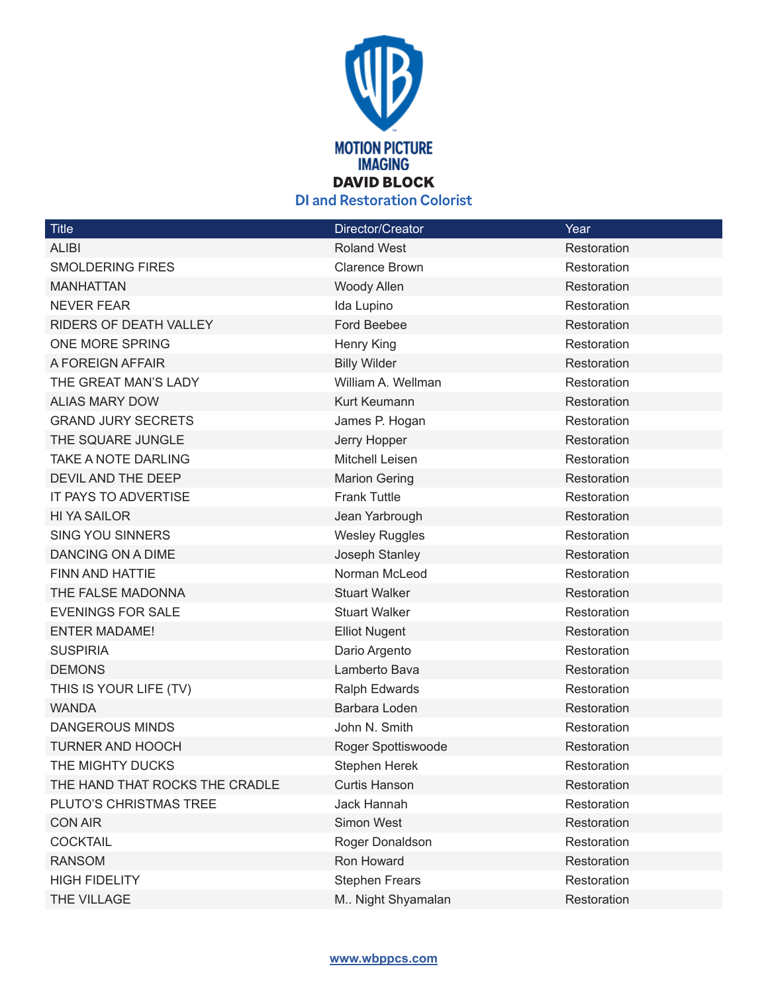

| Title                          | Director/Creator      | Year        |
|--------------------------------|-----------------------|-------------|
| <b>ALIBI</b>                   | <b>Roland West</b>    | Restoration |
| <b>SMOLDERING FIRES</b>        | <b>Clarence Brown</b> | Restoration |
| <b>MANHATTAN</b>               | Woody Allen           | Restoration |
| <b>NEVER FEAR</b>              | Ida Lupino            | Restoration |
| RIDERS OF DEATH VALLEY         | Ford Beebee           | Restoration |
| ONE MORE SPRING                | Henry King            | Restoration |
| A FOREIGN AFFAIR               | <b>Billy Wilder</b>   | Restoration |
| THE GREAT MAN'S LADY           | William A. Wellman    | Restoration |
| <b>ALIAS MARY DOW</b>          | Kurt Keumann          | Restoration |
| <b>GRAND JURY SECRETS</b>      | James P. Hogan        | Restoration |
| THE SQUARE JUNGLE              | Jerry Hopper          | Restoration |
| TAKE A NOTE DARLING            | Mitchell Leisen       | Restoration |
| DEVIL AND THE DEEP             | <b>Marion Gering</b>  | Restoration |
| IT PAYS TO ADVERTISE           | <b>Frank Tuttle</b>   | Restoration |
| <b>HI YA SAILOR</b>            | Jean Yarbrough        | Restoration |
| <b>SING YOU SINNERS</b>        | <b>Wesley Ruggles</b> | Restoration |
| DANCING ON A DIME              | Joseph Stanley        | Restoration |
| <b>FINN AND HATTIE</b>         | Norman McLeod         | Restoration |
| THE FALSE MADONNA              | <b>Stuart Walker</b>  | Restoration |
| <b>EVENINGS FOR SALE</b>       | <b>Stuart Walker</b>  | Restoration |
| <b>ENTER MADAME!</b>           | <b>Elliot Nugent</b>  | Restoration |
| <b>SUSPIRIA</b>                | Dario Argento         | Restoration |
| <b>DEMONS</b>                  | Lamberto Bava         | Restoration |
| THIS IS YOUR LIFE (TV)         | Ralph Edwards         | Restoration |
| <b>WANDA</b>                   | Barbara Loden         | Restoration |
| <b>DANGEROUS MINDS</b>         | John N. Smith         | Restoration |
| <b>TURNER AND HOOCH</b>        | Roger Spottiswoode    | Restoration |
| THE MIGHTY DUCKS               | Stephen Herek         | Restoration |
| THE HAND THAT ROCKS THE CRADLE | <b>Curtis Hanson</b>  | Restoration |
| PLUTO'S CHRISTMAS TREE         | Jack Hannah           | Restoration |
| <b>CON AIR</b>                 | Simon West            | Restoration |
| <b>COCKTAIL</b>                | Roger Donaldson       | Restoration |
| <b>RANSOM</b>                  | Ron Howard            | Restoration |
| <b>HIGH FIDELITY</b>           | <b>Stephen Frears</b> | Restoration |
| THE VILLAGE                    | M Night Shyamalan     | Restoration |